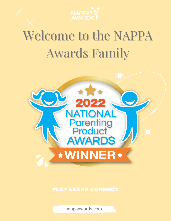

# Welcome to the NAPPA Awards Family



nappaawards.com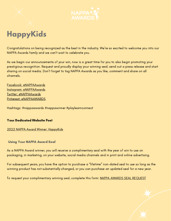

## **HappyKids**

Congratulations on being recognized as the best in the industry. We're so excited to welcome you into our NAPPA Awards family and we can't wait to celebrate you.

As we begin our announcements of your win, now is a great time for you to also begin promoting your prestigious recognition. Request and proudly display your winning seal; send out a press release and start sharing on social media. Don't forget to tag NAPPA Awards as you like, comment and share on all channels.

Facebook: [@NAPPAAwards](https://www.facebook.com/NAPPAawards/) Instagram: [@NAPPAAwards](https://www.instagram.com/nappaawards/?hl=en) Twitter: [@NAPPAAwards](https://twitter.com/nappaawards?lang=en) Pinterest: [@NAPPAAWARDS](https://pl.pinterest.com/NAPPAawards/_created/)

Hashtags: #nappaawards #nappawinner #playlearnconnect

#### Your Dedicated Website Post

#### 2022 NAPPA Award Winner: [HappyKids](https://www.nappaawards.com/product/happykids/)

#### Using Your NAPPA Award Seal

As a NAPPA Award winner, you will receive a complimentary seal with the year of win to use on packaging, in marketing, on your website, social media channels and in print and online advertising.

For subsequent years, you have the option to purchase a "lifetime" non-dated seal to use so long as the winning product has not substantially changed, or you can purchase an updated seal for a new year.

To request your complimentary winning seal, complete this form: NAPPA AWARDS SEAL [REQUEST](https://www.nappaawards.com/seal-request/)